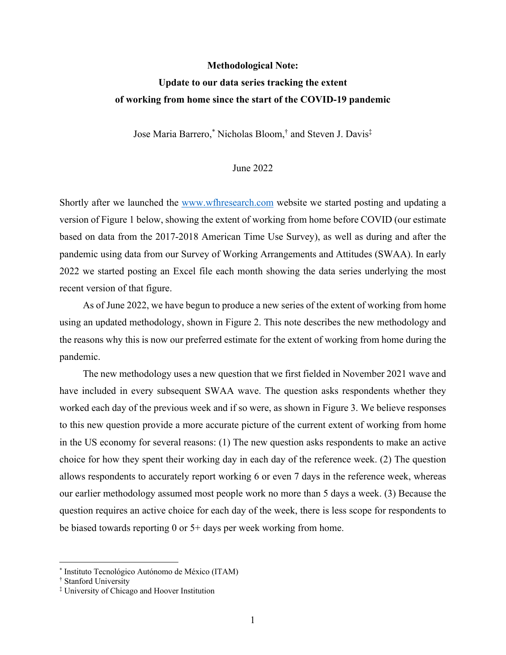#### **Methodological Note:**

## **Update to our data series tracking the extent of working from home since the start of the COVID-19 pandemic**

Jose Maria Barrero,\* Nicholas Bloom,† and Steven J. Davis‡

#### June 2022

Shortly after we launched the www.wfhresearch.com website we started posting and updating a version of Figure 1 below, showing the extent of working from home before COVID (our estimate based on data from the 2017-2018 American Time Use Survey), as well as during and after the pandemic using data from our Survey of Working Arrangements and Attitudes (SWAA). In early 2022 we started posting an Excel file each month showing the data series underlying the most recent version of that figure.

As of June 2022, we have begun to produce a new series of the extent of working from home using an updated methodology, shown in Figure 2. This note describes the new methodology and the reasons why this is now our preferred estimate for the extent of working from home during the pandemic.

The new methodology uses a new question that we first fielded in November 2021 wave and have included in every subsequent SWAA wave. The question asks respondents whether they worked each day of the previous week and if so were, as shown in Figure 3. We believe responses to this new question provide a more accurate picture of the current extent of working from home in the US economy for several reasons: (1) The new question asks respondents to make an active choice for how they spent their working day in each day of the reference week. (2) The question allows respondents to accurately report working 6 or even 7 days in the reference week, whereas our earlier methodology assumed most people work no more than 5 days a week. (3) Because the question requires an active choice for each day of the week, there is less scope for respondents to be biased towards reporting 0 or 5+ days per week working from home.

<sup>\*</sup> Instituto Tecnológico Autónomo de México (ITAM)

<sup>†</sup> Stanford University

<sup>‡</sup> University of Chicago and Hoover Institution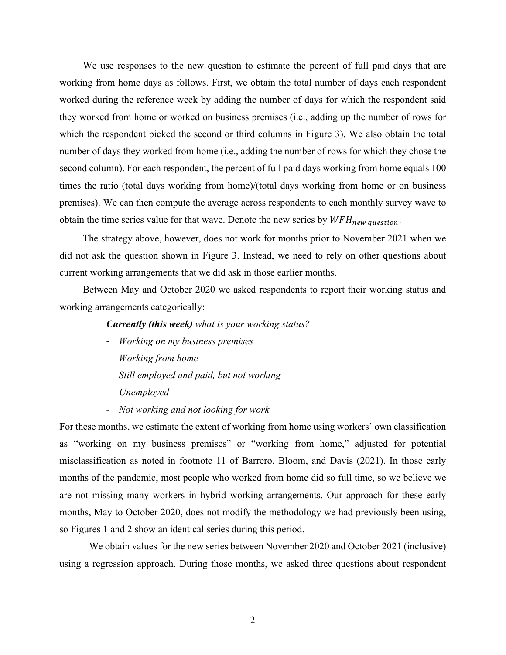We use responses to the new question to estimate the percent of full paid days that are working from home days as follows. First, we obtain the total number of days each respondent worked during the reference week by adding the number of days for which the respondent said they worked from home or worked on business premises (i.e., adding up the number of rows for which the respondent picked the second or third columns in Figure 3). We also obtain the total number of days they worked from home (i.e., adding the number of rows for which they chose the second column). For each respondent, the percent of full paid days working from home equals 100 times the ratio (total days working from home)/(total days working from home or on business premises). We can then compute the average across respondents to each monthly survey wave to obtain the time series value for that wave. Denote the new series by  $WFH_{new\ question}$ .

The strategy above, however, does not work for months prior to November 2021 when we did not ask the question shown in Figure 3. Instead, we need to rely on other questions about current working arrangements that we did ask in those earlier months.

Between May and October 2020 we asked respondents to report their working status and working arrangements categorically:

### *Currently (this week) what is your working status?*

- *Working on my business premises*
- *Working from home*
- *Still employed and paid, but not working*
- *Unemployed*
- *Not working and not looking for work*

For these months, we estimate the extent of working from home using workers' own classification as "working on my business premises" or "working from home," adjusted for potential misclassification as noted in footnote 11 of Barrero, Bloom, and Davis (2021). In those early months of the pandemic, most people who worked from home did so full time, so we believe we are not missing many workers in hybrid working arrangements. Our approach for these early months, May to October 2020, does not modify the methodology we had previously been using, so Figures 1 and 2 show an identical series during this period.

We obtain values for the new series between November 2020 and October 2021 (inclusive) using a regression approach. During those months, we asked three questions about respondent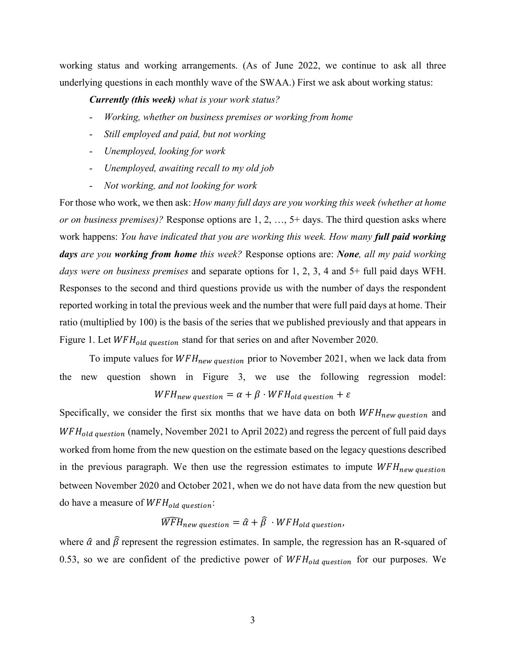working status and working arrangements. (As of June 2022, we continue to ask all three underlying questions in each monthly wave of the SWAA.) First we ask about working status:

*Currently (this week) what is your work status?*

- *Working, whether on business premises or working from home*
- *Still employed and paid, but not working*
- *Unemployed, looking for work*
- *Unemployed, awaiting recall to my old job*
- *Not working, and not looking for work*

For those who work, we then ask: *How many full days are you working this week (whether at home or on business premises)?* Response options are 1, 2, …, 5+ days. The third question asks where work happens: *You have indicated that you are working this week. How many full paid working days are you working from home this week?* Response options are: *None, all my paid working days were on business premises* and separate options for 1, 2, 3, 4 and 5+ full paid days WFH. Responses to the second and third questions provide us with the number of days the respondent reported working in total the previous week and the number that were full paid days at home. Their ratio (multiplied by 100) is the basis of the series that we published previously and that appears in Figure 1. Let  $WFH_{old\ question}$  stand for that series on and after November 2020.

To impute values for  $WFH_{new\ question}$  prior to November 2021, when we lack data from the new question shown in Figure 3, we use the following regression model:  $WFH_{new\ question} = \alpha + \beta \cdot WFH_{old\ question} + \varepsilon$ 

Specifically, we consider the first six months that we have data on both  $WFH_{new\ question}$  and  $WFH_{old\ question}$  (namely, November 2021 to April 2022) and regress the percent of full paid days worked from home from the new question on the estimate based on the legacy questions described in the previous paragraph. We then use the regression estimates to impute  $WFH_{new\ question}$ between November 2020 and October 2021, when we do not have data from the new question but do have a measure of  $WFH_{old}$  question:

# $\widehat{WFH}_{new\; question} = \hat{\alpha} + \hat{\beta} \cdot WFH_{old\; question}$

where  $\hat{\alpha}$  and  $\hat{\beta}$  represent the regression estimates. In sample, the regression has an R-squared of 0.53, so we are confident of the predictive power of  $WFH_{old\ question}$  for our purposes. We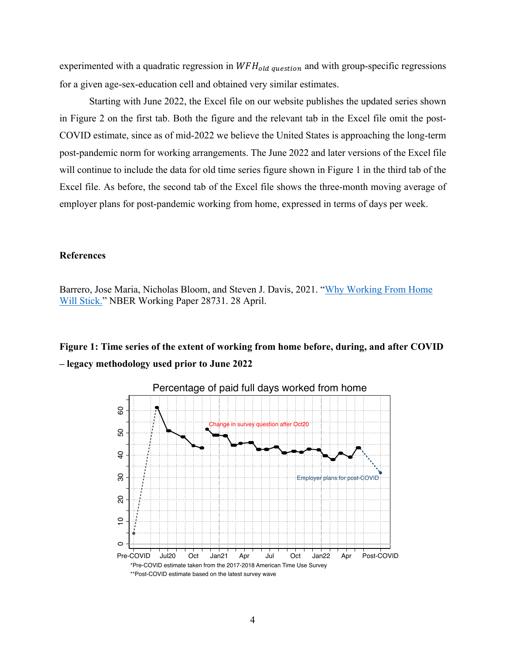experimented with a quadratic regression in  $WFH_{old\ question}$  and with group-specific regressions for a given age-sex-education cell and obtained very similar estimates.

Starting with June 2022, the Excel file on our website publishes the updated series shown in Figure 2 on the first tab. Both the figure and the relevant tab in the Excel file omit the post-COVID estimate, since as of mid-2022 we believe the United States is approaching the long-term post-pandemic norm for working arrangements. The June 2022 and later versions of the Excel file will continue to include the data for old time series figure shown in Figure 1 in the third tab of the Excel file. As before, the second tab of the Excel file shows the three-month moving average of employer plans for post-pandemic working from home, expressed in terms of days per week.

### **References**

Barrero, Jose Maria, Nicholas Bloom, and Steven J. Davis, 2021. "Why Working From Home Will Stick." NBER Working Paper 28731. 28 April.

## **Figure 1: Time series of the extent of working from home before, during, and after COVID – legacy methodology used prior to June 2022**